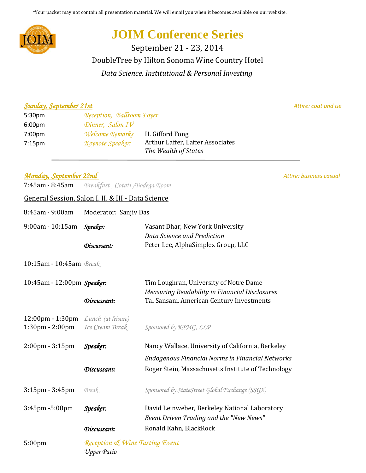\*Your packet may not contain all presentation material. We will email you when it becomes available on our website.



# **JOIM Conference Series**

DoubleTree by Hilton Sonoma Wine Country Hotel September 21 - 23, 2014 *Data Science, Institutional & Personal Investing*

#### *Sunday, September 21st Attire: coat and tie*

| 5:30 <sub>pm</sub> | Reception, Ballroom Foyer    |                                                          |
|--------------------|------------------------------|----------------------------------------------------------|
| 6:00 <sub>pm</sub> | Dinner, Salon $I\mathcal{V}$ |                                                          |
| 7:00 <sub>pm</sub> | Welcome Remarks              | H. Gifford Fong                                          |
| 7:15 <sub>pm</sub> | Keynote Speaker:             | Arthur Laffer, Laffer Associates<br>The Wealth of States |

## *Monday, September 22nd Attire: business casual Attire: business casual*

7:45am - 8:45am *Breakfast , Cotati /Bodega Room*

## General Session, Salon I, II, & III - Data Science

| 8:45am - 9:00am                    | Moderator: Sanjiv Das                         |                                                                   |
|------------------------------------|-----------------------------------------------|-------------------------------------------------------------------|
| $9:00$ am - 10:15am                | Speaker:                                      | Vasant Dhar, New York University                                  |
|                                    | Discussant:                                   | Data Science and Prediction<br>Peter Lee, AlphaSimplex Group, LLC |
|                                    |                                               |                                                                   |
| 10:15am - 10:45am Break            |                                               |                                                                   |
| 10:45am - 12:00pm Speaker:         |                                               | Tim Loughran, University of Notre Dame                            |
|                                    |                                               | <b>Measuring Readability in Financial Disclosures</b>             |
|                                    | Discussant:                                   | Tal Sansani, American Century Investments                         |
| $12:00 \text{pm} - 1:30 \text{pm}$ | Lunch (at leisure)                            |                                                                   |
| $1:30 \text{pm} - 2:00 \text{pm}$  | Ice Cream Break                               | Sponsored by KPMG, LLP                                            |
|                                    |                                               |                                                                   |
| $2:00 \text{pm} - 3:15 \text{pm}$  | Speaker:                                      | Nancy Wallace, University of California, Berkeley                 |
|                                    |                                               | <b>Endogenous Financial Norms in Financial Networks</b>           |
|                                    | Discussant:                                   | Roger Stein, Massachusetts Institute of Technology                |
|                                    |                                               |                                                                   |
| $3:15$ pm - $3:45$ pm              | Break                                         | Sponsored by StateStreet Global Exchange (SSGX)                   |
| 3:45pm -5:00pm                     | Speaker:                                      | David Leinweber, Berkeley National Laboratory                     |
|                                    |                                               | Event Driven Trading and the "New News"                           |
|                                    | Discussant:                                   | Ronald Kahn, BlackRock                                            |
| 5:00 <sub>pm</sub>                 | Reception & Wine Tasting Event<br>Upper Patio |                                                                   |